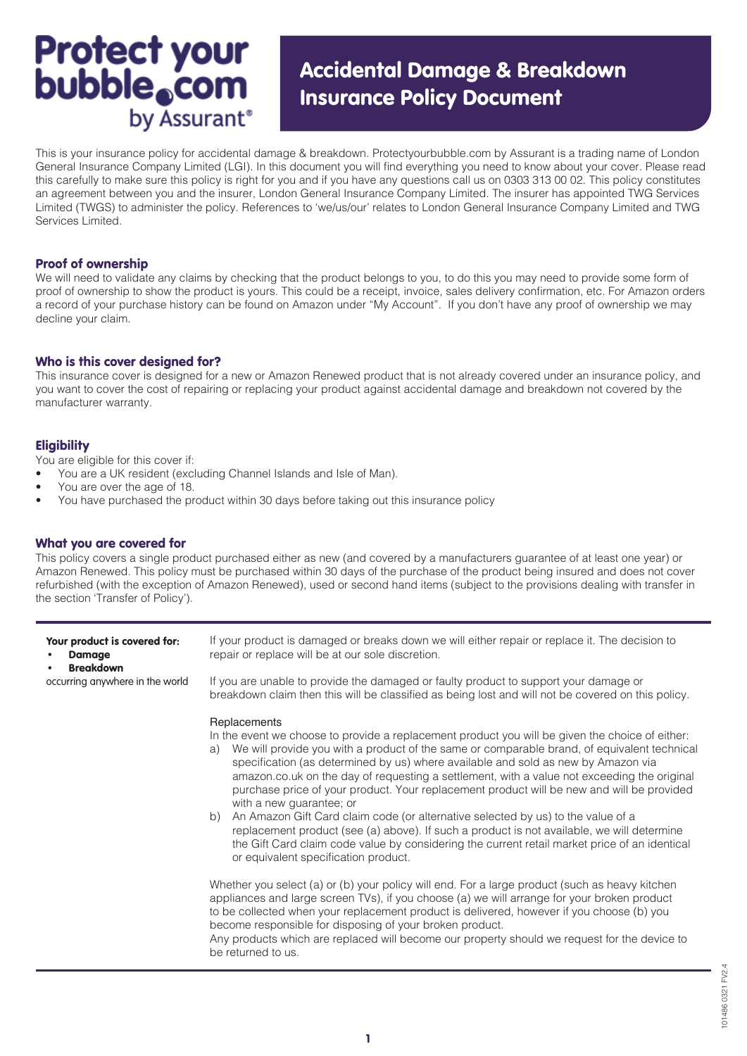# **Protect your<br>bubble.com** by Assurant<sup>®</sup>

# Accidental Damage & Breakdown Insurance Policy Document

This is your insurance policy for accidental damage & breakdown. Protectyourbubble.com by Assurant is a trading name of London General Insurance Company Limited (LGI). In this document you will find everything you need to know about your cover. Please read this carefully to make sure this policy is right for you and if you have any questions call us on 0303 313 00 02. This policy constitutes an agreement between you and the insurer, London General Insurance Company Limited. The insurer has appointed TWG Services Limited (TWGS) to administer the policy. References to 'we/us/our' relates to London General Insurance Company Limited and TWG Services Limited.

### Proof of ownership

We will need to validate any claims by checking that the product belongs to you, to do this you may need to provide some form of proof of ownership to show the product is yours. This could be a receipt, invoice, sales delivery confirmation, etc. For Amazon orders a record of your purchase history can be found on Amazon under "My Account". If you don't have any proof of ownership we may decline your claim.

# Who is this cover designed for?

This insurance cover is designed for a new or Amazon Renewed product that is not already covered under an insurance policy, and you want to cover the cost of repairing or replacing your product against accidental damage and breakdown not covered by the manufacturer warranty.

# **Eligibility**

You are eligible for this cover if:

- You are a UK resident (excluding Channel Islands and Isle of Man).
- You are over the age of 18.
- You have purchased the product within 30 days before taking out this insurance policy

# What you are covered for

This policy covers a single product purchased either as new (and covered by a manufacturers guarantee of at least one year) or Amazon Renewed. This policy must be purchased within 30 days of the purchase of the product being insured and does not cover refurbished (with the exception of Amazon Renewed), used or second hand items (subject to the provisions dealing with transfer in the section 'Transfer of Policy').

| Your product is covered for:<br><b>Damage</b><br><b>Breakdown</b><br>occurring anywhere in the world | If your product is damaged or breaks down we will either repair or replace it. The decision to<br>repair or replace will be at our sole discretion.                                                                                                                                                                                                                                                                                                                                                                                                                                                                                                                                                                                                                                                                                                                                                                                                                                                                                                                                                                                                              |
|------------------------------------------------------------------------------------------------------|------------------------------------------------------------------------------------------------------------------------------------------------------------------------------------------------------------------------------------------------------------------------------------------------------------------------------------------------------------------------------------------------------------------------------------------------------------------------------------------------------------------------------------------------------------------------------------------------------------------------------------------------------------------------------------------------------------------------------------------------------------------------------------------------------------------------------------------------------------------------------------------------------------------------------------------------------------------------------------------------------------------------------------------------------------------------------------------------------------------------------------------------------------------|
|                                                                                                      | If you are unable to provide the damaged or faulty product to support your damage or<br>breakdown claim then this will be classified as being lost and will not be covered on this policy.                                                                                                                                                                                                                                                                                                                                                                                                                                                                                                                                                                                                                                                                                                                                                                                                                                                                                                                                                                       |
|                                                                                                      | Replacements<br>In the event we choose to provide a replacement product you will be given the choice of either:<br>We will provide you with a product of the same or comparable brand, of equivalent technical<br>a)<br>specification (as determined by us) where available and sold as new by Amazon via<br>amazon.co.uk on the day of requesting a settlement, with a value not exceeding the original<br>purchase price of your product. Your replacement product will be new and will be provided<br>with a new guarantee; or<br>An Amazon Gift Card claim code (or alternative selected by us) to the value of a<br>b)<br>replacement product (see (a) above). If such a product is not available, we will determine<br>the Gift Card claim code value by considering the current retail market price of an identical<br>or equivalent specification product.<br>Whether you select (a) or (b) your policy will end. For a large product (such as heavy kitchen<br>appliances and large screen TVs), if you choose (a) we will arrange for your broken product<br>to be collected when your replacement product is delivered, however if you choose (b) you |
|                                                                                                      | become responsible for disposing of your broken product.<br>Any products which are replaced will become our property should we request for the device to<br>be returned to us.                                                                                                                                                                                                                                                                                                                                                                                                                                                                                                                                                                                                                                                                                                                                                                                                                                                                                                                                                                                   |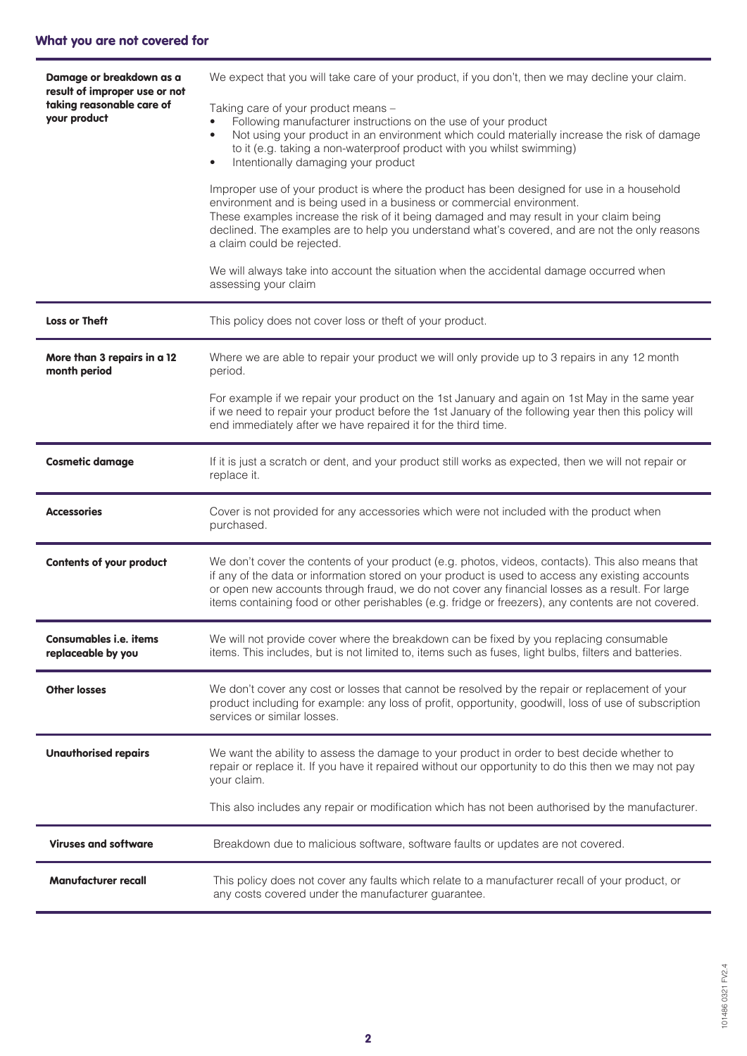| Damage or breakdown as a<br>result of improper use or not<br>taking reasonable care of<br>your product | We expect that you will take care of your product, if you don't, then we may decline your claim.<br>Taking care of your product means -<br>Following manufacturer instructions on the use of your product<br>Not using your product in an environment which could materially increase the risk of damage<br>$\bullet$<br>to it (e.g. taking a non-waterproof product with you whilst swimming)<br>Intentionally damaging your product<br>$\bullet$<br>Improper use of your product is where the product has been designed for use in a household<br>environment and is being used in a business or commercial environment.<br>These examples increase the risk of it being damaged and may result in your claim being<br>declined. The examples are to help you understand what's covered, and are not the only reasons<br>a claim could be rejected.<br>We will always take into account the situation when the accidental damage occurred when<br>assessing your claim |
|--------------------------------------------------------------------------------------------------------|--------------------------------------------------------------------------------------------------------------------------------------------------------------------------------------------------------------------------------------------------------------------------------------------------------------------------------------------------------------------------------------------------------------------------------------------------------------------------------------------------------------------------------------------------------------------------------------------------------------------------------------------------------------------------------------------------------------------------------------------------------------------------------------------------------------------------------------------------------------------------------------------------------------------------------------------------------------------------|
| <b>Loss or Theft</b>                                                                                   | This policy does not cover loss or theft of your product.                                                                                                                                                                                                                                                                                                                                                                                                                                                                                                                                                                                                                                                                                                                                                                                                                                                                                                                |
| More than 3 repairs in a 12<br>month period                                                            | Where we are able to repair your product we will only provide up to 3 repairs in any 12 month<br>period.                                                                                                                                                                                                                                                                                                                                                                                                                                                                                                                                                                                                                                                                                                                                                                                                                                                                 |
|                                                                                                        | For example if we repair your product on the 1st January and again on 1st May in the same year<br>if we need to repair your product before the 1st January of the following year then this policy will<br>end immediately after we have repaired it for the third time.                                                                                                                                                                                                                                                                                                                                                                                                                                                                                                                                                                                                                                                                                                  |
| <b>Cosmetic damage</b>                                                                                 | If it is just a scratch or dent, and your product still works as expected, then we will not repair or<br>replace it.                                                                                                                                                                                                                                                                                                                                                                                                                                                                                                                                                                                                                                                                                                                                                                                                                                                     |
| <b>Accessories</b>                                                                                     | Cover is not provided for any accessories which were not included with the product when<br>purchased.                                                                                                                                                                                                                                                                                                                                                                                                                                                                                                                                                                                                                                                                                                                                                                                                                                                                    |
| <b>Contents of your product</b>                                                                        | We don't cover the contents of your product (e.g. photos, videos, contacts). This also means that<br>if any of the data or information stored on your product is used to access any existing accounts<br>or open new accounts through fraud, we do not cover any financial losses as a result. For large<br>items containing food or other perishables (e.g. fridge or freezers), any contents are not covered.                                                                                                                                                                                                                                                                                                                                                                                                                                                                                                                                                          |
| <b>Consumables i.e. items</b><br>replaceable by you                                                    | We will not provide cover where the breakdown can be fixed by you replacing consumable<br>items. This includes, but is not limited to, items such as fuses, light bulbs, filters and batteries.                                                                                                                                                                                                                                                                                                                                                                                                                                                                                                                                                                                                                                                                                                                                                                          |
| <b>Other losses</b>                                                                                    | We don't cover any cost or losses that cannot be resolved by the repair or replacement of your<br>product including for example: any loss of profit, opportunity, goodwill, loss of use of subscription<br>services or similar losses.                                                                                                                                                                                                                                                                                                                                                                                                                                                                                                                                                                                                                                                                                                                                   |
| <b>Unauthorised repairs</b>                                                                            | We want the ability to assess the damage to your product in order to best decide whether to<br>repair or replace it. If you have it repaired without our opportunity to do this then we may not pay<br>your claim.                                                                                                                                                                                                                                                                                                                                                                                                                                                                                                                                                                                                                                                                                                                                                       |
|                                                                                                        | This also includes any repair or modification which has not been authorised by the manufacturer.                                                                                                                                                                                                                                                                                                                                                                                                                                                                                                                                                                                                                                                                                                                                                                                                                                                                         |
| <b>Viruses and software</b>                                                                            | Breakdown due to malicious software, software faults or updates are not covered.                                                                                                                                                                                                                                                                                                                                                                                                                                                                                                                                                                                                                                                                                                                                                                                                                                                                                         |
| <b>Manufacturer recall</b>                                                                             | This policy does not cover any faults which relate to a manufacturer recall of your product, or<br>any costs covered under the manufacturer guarantee.                                                                                                                                                                                                                                                                                                                                                                                                                                                                                                                                                                                                                                                                                                                                                                                                                   |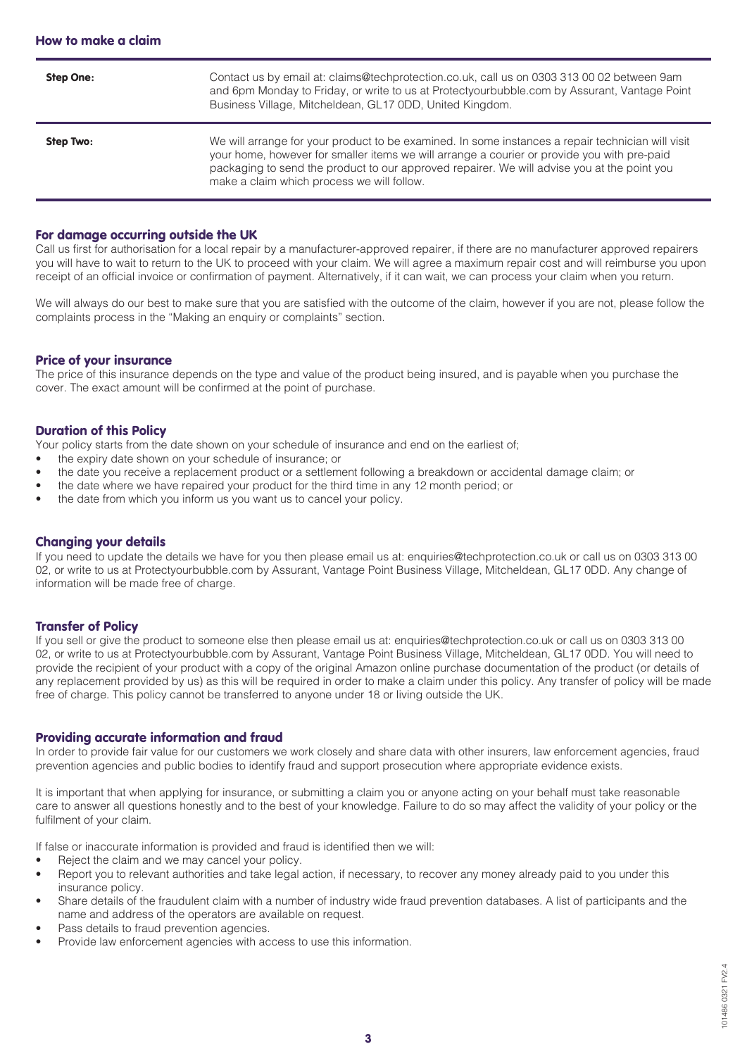| <b>Step One:</b> | Contact us by email at: claims@techprotection.co.uk, call us on 0303 313 00 02 between 9am<br>and 6pm Monday to Friday, or write to us at Protectyourbubble.com by Assurant, Vantage Point<br>Business Village, Mitcheldean, GL17 0DD, United Kingdom.                                                                                        |
|------------------|-----------------------------------------------------------------------------------------------------------------------------------------------------------------------------------------------------------------------------------------------------------------------------------------------------------------------------------------------|
| Step Two:        | We will arrange for your product to be examined. In some instances a repair technician will visit<br>your home, however for smaller items we will arrange a courier or provide you with pre-paid<br>packaging to send the product to our approved repairer. We will advise you at the point you<br>make a claim which process we will follow. |

#### For damage occurring outside the UK

Call us first for authorisation for a local repair by a manufacturer-approved repairer, if there are no manufacturer approved repairers you will have to wait to return to the UK to proceed with your claim. We will agree a maximum repair cost and will reimburse you upon receipt of an official invoice or confirmation of payment. Alternatively, if it can wait, we can process your claim when you return.

We will always do our best to make sure that you are satisfied with the outcome of the claim, however if you are not, please follow the complaints process in the "Making an enquiry or complaints" section.

#### Price of your insurance

The price of this insurance depends on the type and value of the product being insured, and is payable when you purchase the cover. The exact amount will be confirmed at the point of purchase.

#### Duration of this Policy

Your policy starts from the date shown on your schedule of insurance and end on the earliest of;

- the expiry date shown on your schedule of insurance; or
- the date you receive a replacement product or a settlement following a breakdown or accidental damage claim; or
- the date where we have repaired your product for the third time in any 12 month period; or
- the date from which you inform us you want us to cancel your policy.

#### Changing your details

If you need to update the details we have for you then please email us at: enquiries@techprotection.co.uk or call us on 0303 313 00 02, or write to us at Protectyourbubble.com by Assurant, Vantage Point Business Village, Mitcheldean, GL17 0DD. Any change of information will be made free of charge.

# Transfer of Policy

If you sell or give the product to someone else then please email us at: enquiries@techprotection.co.uk or call us on 0303 313 00 02, or write to us at Protectyourbubble.com by Assurant, Vantage Point Business Village, Mitcheldean, GL17 0DD. You will need to provide the recipient of your product with a copy of the original Amazon online purchase documentation of the product (or details of any replacement provided by us) as this will be required in order to make a claim under this policy. Any transfer of policy will be made free of charge. This policy cannot be transferred to anyone under 18 or living outside the UK.

#### Providing accurate information and fraud

In order to provide fair value for our customers we work closely and share data with other insurers, law enforcement agencies, fraud prevention agencies and public bodies to identify fraud and support prosecution where appropriate evidence exists.

It is important that when applying for insurance, or submitting a claim you or anyone acting on your behalf must take reasonable care to answer all questions honestly and to the best of your knowledge. Failure to do so may affect the validity of your policy or the fulfilment of your claim.

If false or inaccurate information is provided and fraud is identified then we will:

- Reject the claim and we may cancel your policy.
- Report you to relevant authorities and take legal action, if necessary, to recover any money already paid to you under this insurance policy.
- Share details of the fraudulent claim with a number of industry wide fraud prevention databases. A list of participants and the name and address of the operators are available on request.
- Pass details to fraud prevention agencies.
- Provide law enforcement agencies with access to use this information.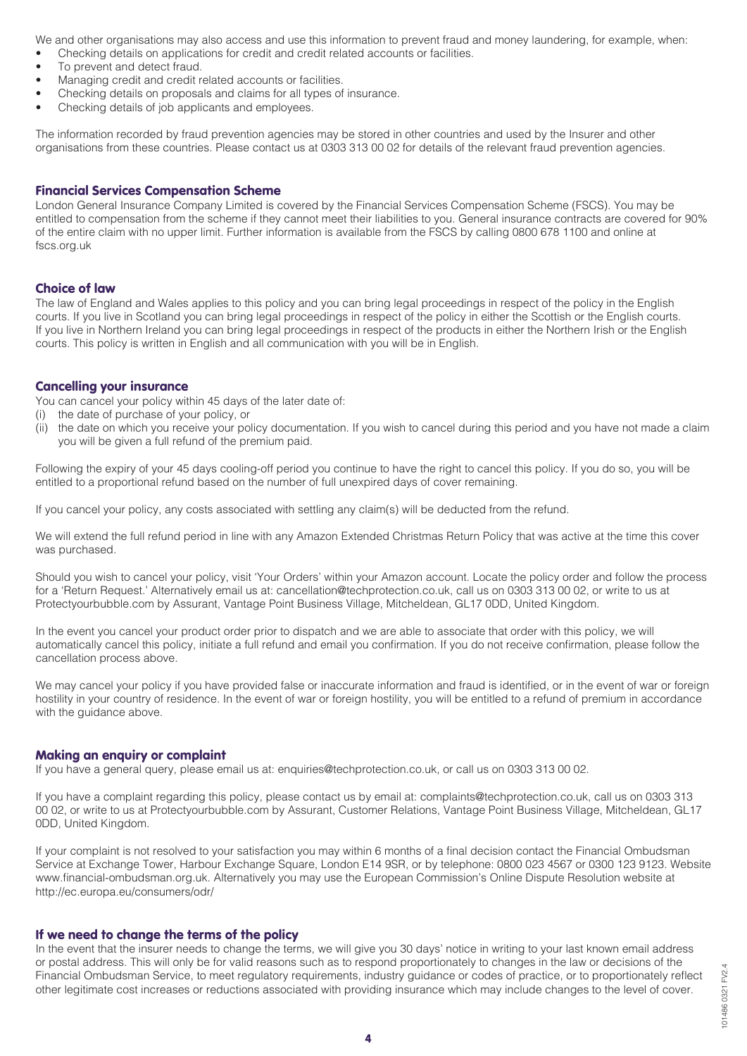We and other organisations may also access and use this information to prevent fraud and money laundering, for example, when:

- Checking details on applications for credit and credit related accounts or facilities.
- To prevent and detect fraud.
- Managing credit and credit related accounts or facilities.
- Checking details on proposals and claims for all types of insurance.
- Checking details of job applicants and employees.

The information recorded by fraud prevention agencies may be stored in other countries and used by the Insurer and other organisations from these countries. Please contact us at 0303 313 00 02 for details of the relevant fraud prevention agencies.

# Financial Services Compensation Scheme

London General Insurance Company Limited is covered by the Financial Services Compensation Scheme (FSCS). You may be entitled to compensation from the scheme if they cannot meet their liabilities to you. General insurance contracts are covered for 90% of the entire claim with no upper limit. Further information is available from the FSCS by calling 0800 678 1100 and online at fscs.org.uk

# Choice of law

The law of England and Wales applies to this policy and you can bring legal proceedings in respect of the policy in the English courts. If you live in Scotland you can bring legal proceedings in respect of the policy in either the Scottish or the English courts. If you live in Northern Ireland you can bring legal proceedings in respect of the products in either the Northern Irish or the English courts. This policy is written in English and all communication with you will be in English.

#### Cancelling your insurance

You can cancel your policy within 45 days of the later date of:

- (i) the date of purchase of your policy, or
- (ii) the date on which you receive your policy documentation. If you wish to cancel during this period and you have not made a claim you will be given a full refund of the premium paid.

Following the expiry of your 45 days cooling-off period you continue to have the right to cancel this policy. If you do so, you will be entitled to a proportional refund based on the number of full unexpired days of cover remaining.

If you cancel your policy, any costs associated with settling any claim(s) will be deducted from the refund.

We will extend the full refund period in line with any Amazon Extended Christmas Return Policy that was active at the time this cover was purchased.

Should you wish to cancel your policy, visit 'Your Orders' within your Amazon account. Locate the policy order and follow the process for a 'Return Request.' Alternatively email us at: cancellation@techprotection.co.uk, call us on 0303 313 00 02, or write to us at Protectyourbubble.com by Assurant, Vantage Point Business Village, Mitcheldean, GL17 0DD, United Kingdom.

In the event you cancel your product order prior to dispatch and we are able to associate that order with this policy, we will automatically cancel this policy, initiate a full refund and email you confirmation. If you do not receive confirmation, please follow the cancellation process above.

We may cancel your policy if you have provided false or inaccurate information and fraud is identified, or in the event of war or foreign hostility in your country of residence. In the event of war or foreign hostility, you will be entitled to a refund of premium in accordance with the guidance above.

# Making an enquiry or complaint

If you have a general query, please email us at: enquiries@techprotection.co.uk, or call us on 0303 313 00 02.

If you have a complaint regarding this policy, please contact us by email at: complaints@techprotection.co.uk, call us on 0303 313 00 02, or write to us at Protectyourbubble.com by Assurant, Customer Relations, Vantage Point Business Village, Mitcheldean, GL17 0DD, United Kingdom.

If your complaint is not resolved to your satisfaction you may within 6 months of a final decision contact the Financial Ombudsman Service at Exchange Tower, Harbour Exchange Square, London E14 9SR, or by telephone: 0800 023 4567 or 0300 123 9123. Website www.financial-ombudsman.org.uk. Alternatively you may use the European Commission's Online Dispute Resolution website at http://ec.europa.eu/consumers/odr/

# If we need to change the terms of the policy

In the event that the insurer needs to change the terms, we will give you 30 days' notice in writing to your last known email address or postal address. This will only be for valid reasons such as to respond proportionately to changes in the law or decisions of the Financial Ombudsman Service, to meet regulatory requirements, industry guidance or codes of practice, or to proportionately reflect other legitimate cost increases or reductions associated with providing insurance which may include changes to the level of cover.